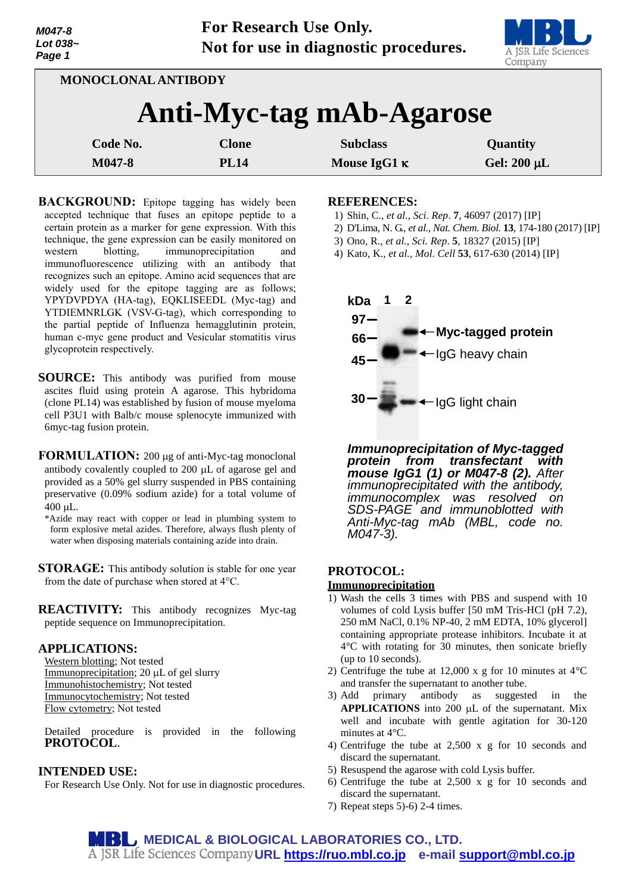

|                          |              |                     | -----------      |
|--------------------------|--------------|---------------------|------------------|
| MONOCLONAL ANTIBODY      |              |                     |                  |
| Anti-Myc-tag mAb-Agarose |              |                     |                  |
| Code No.                 | <b>Clone</b> | <b>Subclass</b>     | Quantity         |
| M047-8                   | <b>PL14</b>  | Mouse IgG1 $\kappa$ | Gel: $200 \mu L$ |

- **BACKGROUND:** Epitope tagging has widely been accepted technique that fuses an epitope peptide to a certain protein as a marker for gene expression. With this technique, the gene expression can be easily monitored on western blotting, immunoprecipitation and immunofluorescence utilizing with an antibody that recognizes such an epitope. Amino acid sequences that are widely used for the epitope tagging are as follows; YPYDVPDYA (HA-tag), EQKLISEEDL (Myc-tag) and YTDIEMNRLGK (VSV-G-tag), which corresponding to the partial peptide of Influenza hemagglutinin protein, human c-myc gene product and Vesicular stomatitis virus glycoprotein respectively.
- **SOURCE:** This antibody was purified from mouse ascites fluid using protein A agarose. This hybridoma (clone PL14) was established by fusion of mouse myeloma cell P3U1 with Balb/c mouse splenocyte immunized with 6myc-tag fusion protein.
- **FORMULATION:** 200 µg of anti-Myc-tag monoclonal antibody covalently coupled to  $200 \mu L$  of agarose gel and provided as a 50% gel slurry suspended in PBS containing preservative (0.09% sodium azide) for a total volume of  $400$   $\mu$ L.
- \*Azide may react with copper or lead in plumbing system to form explosive metal azides. Therefore, always flush plenty of water when disposing materials containing azide into drain.
- **STORAGE:** This antibody solution is stable for one year from the date of purchase when stored at 4°C.
- **REACTIVITY:** This antibody recognizes Myc-tag peptide sequence on Immunoprecipitation.

### **APPLICATIONS:**

Western blotting; Not tested  $Immunoprecipitation$ ; 20  $\mu$ L of gel slurry Immunohistochemistry; Not tested Immunocytochemistry; Not tested Flow cytometry; Not tested

Detailed procedure is provided in the following **PROTOCOL**.

# **INTENDED USE:**

For Research Use Only. Not for use in diagnostic procedures.

### **REFERENCES:**

- 1) Shin, C., *et al., Sci. Rep*. **7**, 46097 (2017) [IP]
- 2) D'Lima, N. G., *et al., Nat. Chem. Biol.* **13**, 174-180 (2017) [IP]
- 3) Ono, R., *et al., Sci. Rep*. **5**, 18327 (2015) [IP]
- 4) Kato, K., *et al., Mol. Cell* **53**, 617-630 (2014) [IP]



*Immunoprecipitation of Myc-Tag Immunoprecipitation of Myc-tagged from transfectant with mouse IgG1 protein from transfectant with (1) or M047-8 (2). After mouse IgG1 (1) or M047-8 (2). After immunoprecipitated with the antibody, immunoprecipitated with the antibody, immunocomplex was resolved on immunocomplex was resolved on SDS-PAGE and immunoblotted with SDS-PAGE and immunoblotted with M047-3. Anti-Myc-tag mAb (MBL, code no. M047-3).*

# **PROTOCOL:**

### **Immunoprecipitation**

- 1) Wash the cells 3 times with PBS and suspend with 10 volumes of cold Lysis buffer [50 mM Tris-HCl (pH 7.2), 250 mM NaCl, 0.1% NP-40, 2 mM EDTA, 10% glycerol] containing appropriate protease inhibitors. Incubate it at 4°C with rotating for 30 minutes, then sonicate briefly (up to 10 seconds).
- 2) Centrifuge the tube at 12,000 x g for 10 minutes at  $4^{\circ}$ C and transfer the supernatant to another tube.
- 3) Add primary antibody as suggested in the **APPLICATIONS** into 200 µL of the supernatant. Mix well and incubate with gentle agitation for 30-120 minutes at 4°C.
- 4) Centrifuge the tube at 2,500 x g for 10 seconds and discard the supernatant.
- 5) Resuspend the agarose with cold Lysis buffer.
- 6) Centrifuge the tube at 2,500 x g for 10 seconds and discard the supernatant.
- 7) Repeat steps 5)-6) 2-4 times.